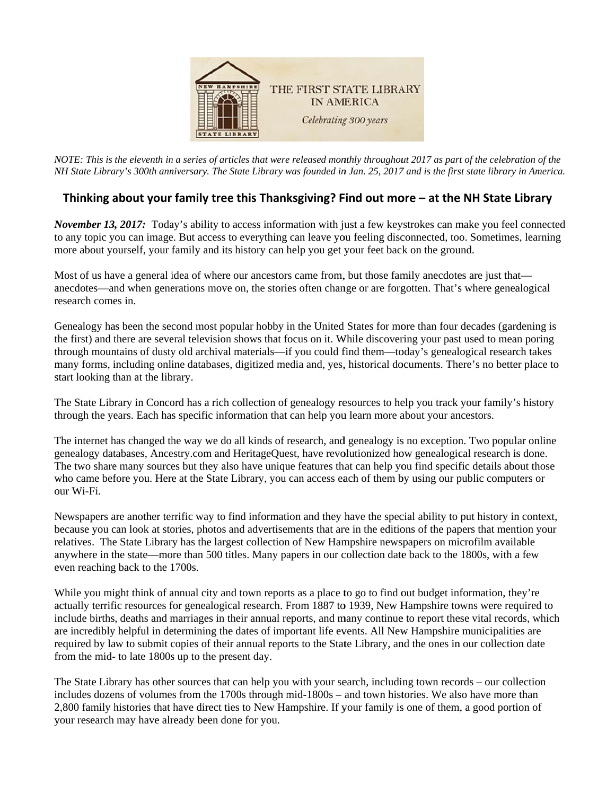

*NOTE: This is the eleventh in a series of articles that were released monthly throughout 2017 as part of the celebration of the NH State Library's 300th anniversary. The State Library was founded in Jan. 25, 2017 and is the first state library in America.* 

## Thinking about your family tree this Thanksgiving? Find out more – at the NH State Library

November 13, 2017: Today's ability to access information with just a few keystrokes can make you feel connected to any topic you can image. But access to everything can leave you feeling disconnected, too. Sometimes, learning more about yourself, your family and its history can help you get your feet back on the ground.

Most of us have a general idea of where our ancestors came from, but those family anecdotes are just that anecdotes—and when generations move on, the stories often change or are forgotten. That's where genealogical research comes in.

Genealogy has been the second most popular hobby in the United States for more than four decades (gardening is the first) and there are several television shows that focus on it. While discovering your past used to mean poring through mountains of dusty old archival materials—if you could find them—today's genealogical research takes many forms, including online databases, digitized media and, yes, historical documents. There's no better place to start looking than at the library.

The State Library in Concord has a rich collection of genealogy resources to help you track your family's history through the years. Each has specific information that can help you learn more about your ancestors.

The internet has changed the way we do all kinds of research, and genealogy is no exception. Two popular online genealogy databases, Ancestry.com and HeritageQuest, have revolutionized how genealogical research is done. The two share many sources but they also have unique features that can help you find specific details about those who came before you. Here at the State Library, you can access each of them by using our public computers or o our Wi-Fi.

Newspapers are another terrific way to find information and they have the special ability to put history in context, because you can look at stories, photos and advertisements that are in the editions of the papers that mention your relatives. The State Library has the largest collection of New Hampshire newspapers on microfilm available anywhere in the state—more than 500 titles. Many papers in our collection date back to the 1800s, with a few even reaching back to the 1700s.

While you might think of annual city and town reports as a place to go to find out budget information, they're actually terrific resources for genealogical research. From 1887 to 1939, New Hampshire towns were required to include births, deaths and marriages in their annual reports, and many continue to report these vital records, which are incredibly helpful in determining the dates of important life events. All New Hampshire municipalities are required by law to submit copies of their annual reports to the State Library, and the ones in our collection date from the mid- to late 1800s up to the present day.

The State Library has other sources that can help you with your search, including town records – our collection includes dozens of volumes from the 1700s through mid-1800s - and town histories. We also have more than 2,800 family histories that have direct ties to New Hampshire. If your family is one of them, a good portion of your research may have already been done for you.